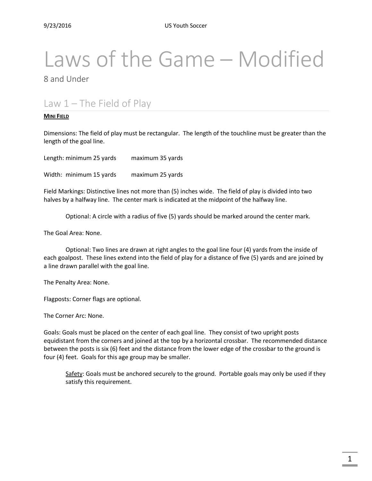# Laws of the Game – Modified

8 and Under

# Law 1 – The Field of Play

#### **MINI FIELD**

Dimensions: The field of play must be rectangular. The length of the touchline must be greater than the length of the goal line.

Length: minimum 25 yards maximum 35 yards Width: minimum 15 yards maximum 25 yards

Field Markings: Distinctive lines not more than (5) inches wide. The field of play is divided into two halves by a halfway line. The center mark is indicated at the midpoint of the halfway line.

Optional: A circle with a radius of five (5) yards should be marked around the center mark.

The Goal Area: None.

Optional: Two lines are drawn at right angles to the goal line four (4) yards from the inside of each goalpost. These lines extend into the field of play for a distance of five (5) yards and are joined by a line drawn parallel with the goal line.

The Penalty Area: None.

Flagposts: Corner flags are optional.

The Corner Arc: None.

Goals: Goals must be placed on the center of each goal line. They consist of two upright posts equidistant from the corners and joined at the top by a horizontal crossbar. The recommended distance between the posts is six (6) feet and the distance from the lower edge of the crossbar to the ground is four (4) feet. Goals for this age group may be smaller.

Safety: Goals must be anchored securely to the ground. Portable goals may only be used if they satisfy this requirement.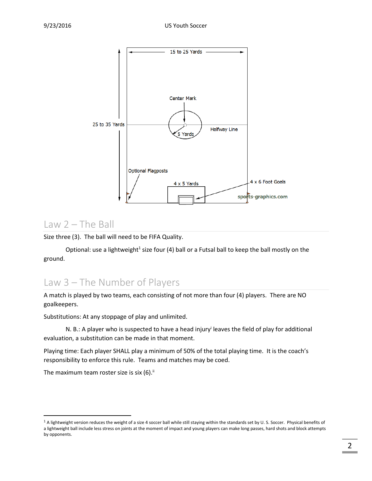

#### Law  $2$  – The Ball

Size three (3). The ball will need to be FIFA Quality.

Optional: use a lightweight<sup>1</sup> size four (4) ball or a Futsal ball to keep the ball mostly on the ground.

#### Law 3 – The Number of Players

A match is played by two teams, each consisting of not more than four (4) players. There are NO goalkeepers.

Substitutions: At any stoppage of play and unlimited.

N. B.: A player who is suspected to have a head injury<sup>i</sup> leaves the field of play for additional evaluation, a substitution can be made in that moment.

Playing time: Each player SHALL play a minimum of 50% of the total playing time. It is the coach's responsibility to enforce this rule. Teams and matches may be coed.

The maximum team roster size is six (6).<sup>ii</sup>

 $\overline{\phantom{a}}$ 

<sup>&</sup>lt;sup>1</sup> A lightweight version reduces the weight of a size 4 soccer ball while still staying within the standards set by U. S. Soccer. Physical benefits of a lightweight ball include less stress on joints at the moment of impact and young players can make long passes, hard shots and block attempts by opponents.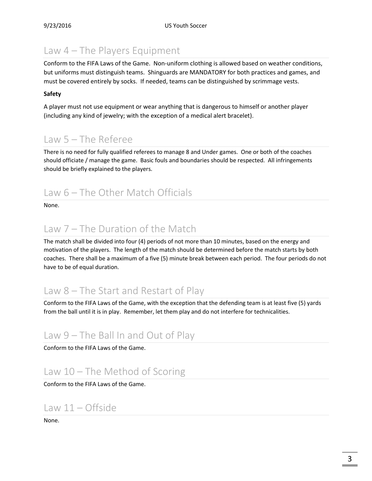# Law 4 – The Players Equipment

Conform to the FIFA Laws of the Game. Non-uniform clothing is allowed based on weather conditions, but uniforms must distinguish teams. Shinguards are MANDATORY for both practices and games, and must be covered entirely by socks. If needed, teams can be distinguished by scrimmage vests.

#### **Safety**

A player must not use equipment or wear anything that is dangerous to himself or another player (including any kind of jewelry; with the exception of a medical alert bracelet).

# Law 5 – The Referee

There is no need for fully qualified referees to manage 8 and Under games. One or both of the coaches should officiate / manage the game. Basic fouls and boundaries should be respected. All infringements should be briefly explained to the players.

# Law 6 – The Other Match Officials

None.

#### Law 7 – The Duration of the Match

The match shall be divided into four (4) periods of not more than 10 minutes, based on the energy and motivation of the players. The length of the match should be determined before the match starts by both coaches. There shall be a maximum of a five (5) minute break between each period. The four periods do not have to be of equal duration.

# Law 8 – The Start and Restart of Play

Conform to the FIFA Laws of the Game, with the exception that the defending team is at least five (5) yards from the ball until it is in play. Remember, let them play and do not interfere for technicalities.

# Law 9 – The Ball In and Out of Play

Conform to the FIFA Laws of the Game.

# Law 10 – The Method of Scoring

Conform to the FIFA Laws of the Game.

#### Law 11 – Offside

None.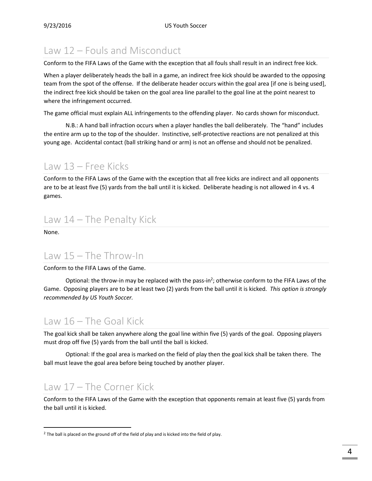# Law 12 – Fouls and Misconduct

Conform to the FIFA Laws of the Game with the exception that all fouls shall result in an indirect free kick.

When a player deliberately heads the ball in a game, an indirect free kick should be awarded to the opposing team from the spot of the offense. If the deliberate header occurs within the goal area [if one is being used], the indirect free kick should be taken on the goal area line parallel to the goal line at the point nearest to where the infringement occurred.

The game official must explain ALL infringements to the offending player. No cards shown for misconduct.

N.B.: A hand ball infraction occurs when a player handles the ball deliberately. The "hand" includes the entire arm up to the top of the shoulder. Instinctive, self-protective reactions are not penalized at this young age. Accidental contact (ball striking hand or arm) is not an offense and should not be penalized.

#### Law 13 – Free Kicks

Conform to the FIFA Laws of the Game with the exception that all free kicks are indirect and all opponents are to be at least five (5) yards from the ball until it is kicked. Deliberate heading is not allowed in 4 vs. 4 games.

#### Law 14 – The Penalty Kick

None.

 $\overline{a}$ 

#### Law 15 – The Throw-In

Conform to the FIFA Laws of the Game.

Optional: the throw-in may be replaced with the pass-in<sup>2</sup>; otherwise conform to the FIFA Laws of the Game. Opposing players are to be at least two (2) yards from the ball until it is kicked. *This option is strongly recommended by US Youth Soccer.*

### Law 16 – The Goal Kick

The goal kick shall be taken anywhere along the goal line within five (5) yards of the goal. Opposing players must drop off five (5) yards from the ball until the ball is kicked.

Optional: If the goal area is marked on the field of play then the goal kick shall be taken there. The ball must leave the goal area before being touched by another player.

### Law 17 – The Corner Kick

Conform to the FIFA Laws of the Game with the exception that opponents remain at least five (5) yards from the ball until it is kicked.

<sup>&</sup>lt;sup>2</sup> The ball is placed on the ground off of the field of play and is kicked into the field of play.